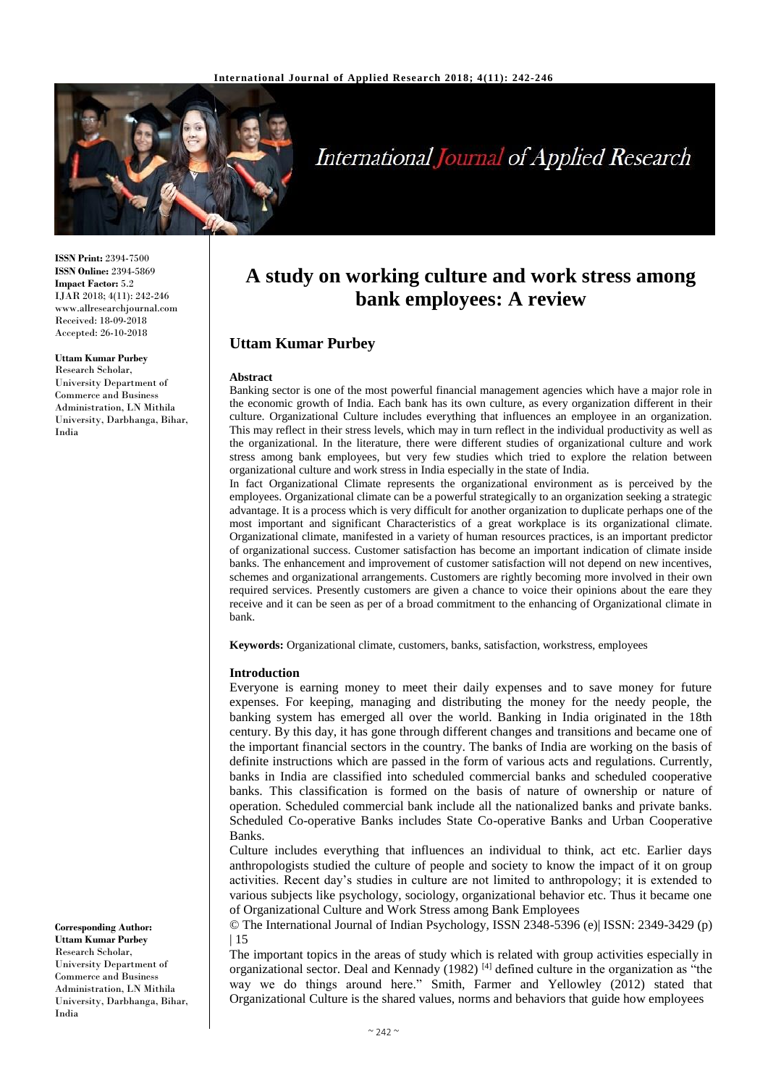

# **International Journal of Applied Research**

**ISSN Print:** 2394-7500 **ISSN Online:** 2394-5869 **Impact Factor:** 5.2 IJAR 2018; 4(11): 242-246 www.allresearchjournal.com Received: 18-09-2018 Accepted: 26-10-2018

#### **Uttam Kumar Purbey**

Research Scholar, University Department of Commerce and Business Administration, LN Mithila University, Darbhanga, Bihar, India

**A study on working culture and work stress among bank employees: A review**

# **Uttam Kumar Purbey**

#### **Abstract**

Banking sector is one of the most powerful financial management agencies which have a major role in the economic growth of India. Each bank has its own culture, as every organization different in their culture. Organizational Culture includes everything that influences an employee in an organization. This may reflect in their stress levels, which may in turn reflect in the individual productivity as well as the organizational. In the literature, there were different studies of organizational culture and work stress among bank employees, but very few studies which tried to explore the relation between organizational culture and work stress in India especially in the state of India.

In fact Organizational Climate represents the organizational environment as is perceived by the employees. Organizational climate can be a powerful strategically to an organization seeking a strategic advantage. It is a process which is very difficult for another organization to duplicate perhaps one of the most important and significant Characteristics of a great workplace is its organizational climate. Organizational climate, manifested in a variety of human resources practices, is an important predictor of organizational success. Customer satisfaction has become an important indication of climate inside banks. The enhancement and improvement of customer satisfaction will not depend on new incentives, schemes and organizational arrangements. Customers are rightly becoming more involved in their own required services. Presently customers are given a chance to voice their opinions about the eare they receive and it can be seen as per of a broad commitment to the enhancing of Organizational climate in bank.

**Keywords:** Organizational climate, customers, banks, satisfaction, workstress, employees

#### **Introduction**

Everyone is earning money to meet their daily expenses and to save money for future expenses. For keeping, managing and distributing the money for the needy people, the banking system has emerged all over the world. Banking in India originated in the 18th century. By this day, it has gone through different changes and transitions and became one of the important financial sectors in the country. The banks of India are working on the basis of definite instructions which are passed in the form of various acts and regulations. Currently, banks in India are classified into scheduled commercial banks and scheduled cooperative banks. This classification is formed on the basis of nature of ownership or nature of operation. Scheduled commercial bank include all the nationalized banks and private banks. Scheduled Co-operative Banks includes State Co-operative Banks and Urban Cooperative Banks.

Culture includes everything that influences an individual to think, act etc. Earlier days anthropologists studied the culture of people and society to know the impact of it on group activities. Recent day's studies in culture are not limited to anthropology; it is extended to various subjects like psychology, sociology, organizational behavior etc. Thus it became one of Organizational Culture and Work Stress among Bank Employees

© The International Journal of Indian Psychology, ISSN 2348-5396 (e)| ISSN: 2349-3429 (p) | 15

The important topics in the areas of study which is related with group activities especially in organizational sector. Deal and Kennady (1982)<sup>[4]</sup> defined culture in the organization as "the way we do things around here." Smith, Farmer and Yellowley (2012) stated that Organizational Culture is the shared values, norms and behaviors that guide how employees

**Corresponding Author: Uttam Kumar Purbey** Research Scholar, University Department of Commerce and Business Administration, LN Mithila University, Darbhanga, Bihar, India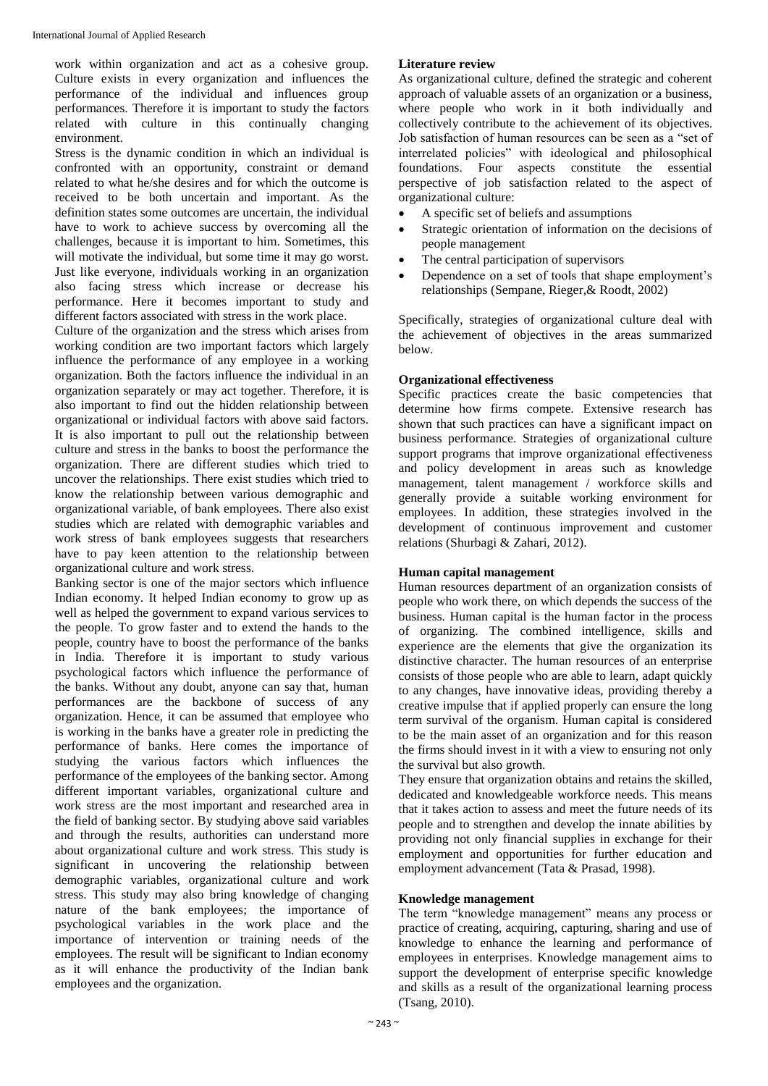work within organization and act as a cohesive group. Culture exists in every organization and influences the performance of the individual and influences group performances. Therefore it is important to study the factors related with culture in this continually changing environment.

Stress is the dynamic condition in which an individual is confronted with an opportunity, constraint or demand related to what he/she desires and for which the outcome is received to be both uncertain and important. As the definition states some outcomes are uncertain, the individual have to work to achieve success by overcoming all the challenges, because it is important to him. Sometimes, this will motivate the individual, but some time it may go worst. Just like everyone, individuals working in an organization also facing stress which increase or decrease his performance. Here it becomes important to study and different factors associated with stress in the work place.

Culture of the organization and the stress which arises from working condition are two important factors which largely influence the performance of any employee in a working organization. Both the factors influence the individual in an organization separately or may act together. Therefore, it is also important to find out the hidden relationship between organizational or individual factors with above said factors. It is also important to pull out the relationship between culture and stress in the banks to boost the performance the organization. There are different studies which tried to uncover the relationships. There exist studies which tried to know the relationship between various demographic and organizational variable, of bank employees. There also exist studies which are related with demographic variables and work stress of bank employees suggests that researchers have to pay keen attention to the relationship between organizational culture and work stress.

Banking sector is one of the major sectors which influence Indian economy. It helped Indian economy to grow up as well as helped the government to expand various services to the people. To grow faster and to extend the hands to the people, country have to boost the performance of the banks in India. Therefore it is important to study various psychological factors which influence the performance of the banks. Without any doubt, anyone can say that, human performances are the backbone of success of any organization. Hence, it can be assumed that employee who is working in the banks have a greater role in predicting the performance of banks. Here comes the importance of studying the various factors which influences the performance of the employees of the banking sector. Among different important variables, organizational culture and work stress are the most important and researched area in the field of banking sector. By studying above said variables and through the results, authorities can understand more about organizational culture and work stress. This study is significant in uncovering the relationship between demographic variables, organizational culture and work stress. This study may also bring knowledge of changing nature of the bank employees; the importance of psychological variables in the work place and the importance of intervention or training needs of the employees. The result will be significant to Indian economy as it will enhance the productivity of the Indian bank employees and the organization.

# **Literature review**

As organizational culture, defined the strategic and coherent approach of valuable assets of an organization or a business, where people who work in it both individually and collectively contribute to the achievement of its objectives. Job satisfaction of human resources can be seen as a "set of interrelated policies" with ideological and philosophical foundations. Four aspects constitute the essential perspective of job satisfaction related to the aspect of organizational culture:

- A specific set of beliefs and assumptions
- Strategic orientation of information on the decisions of people management
- The central participation of supervisors
- Dependence on a set of tools that shape employment's relationships (Sempane, Rieger,& Roodt, 2002)

Specifically, strategies of organizational culture deal with the achievement of objectives in the areas summarized below.

## **Organizational effectiveness**

Specific practices create the basic competencies that determine how firms compete. Extensive research has shown that such practices can have a significant impact on business performance. Strategies of organizational culture support programs that improve organizational effectiveness and policy development in areas such as knowledge management, talent management / workforce skills and generally provide a suitable working environment for employees. In addition, these strategies involved in the development of continuous improvement and customer relations (Shurbagi & Zahari, 2012).

## **Human capital management**

Human resources department of an organization consists of people who work there, on which depends the success of the business. Human capital is the human factor in the process of organizing. The combined intelligence, skills and experience are the elements that give the organization its distinctive character. The human resources of an enterprise consists of those people who are able to learn, adapt quickly to any changes, have innovative ideas, providing thereby a creative impulse that if applied properly can ensure the long term survival of the organism. Human capital is considered to be the main asset of an organization and for this reason the firms should invest in it with a view to ensuring not only the survival but also growth.

They ensure that organization obtains and retains the skilled, dedicated and knowledgeable workforce needs. This means that it takes action to assess and meet the future needs of its people and to strengthen and develop the innate abilities by providing not only financial supplies in exchange for their employment and opportunities for further education and employment advancement (Tata & Prasad, 1998).

## **Knowledge management**

The term "knowledge management" means any process or practice of creating, acquiring, capturing, sharing and use of knowledge to enhance the learning and performance of employees in enterprises. Knowledge management aims to support the development of enterprise specific knowledge and skills as a result of the organizational learning process (Tsang, 2010).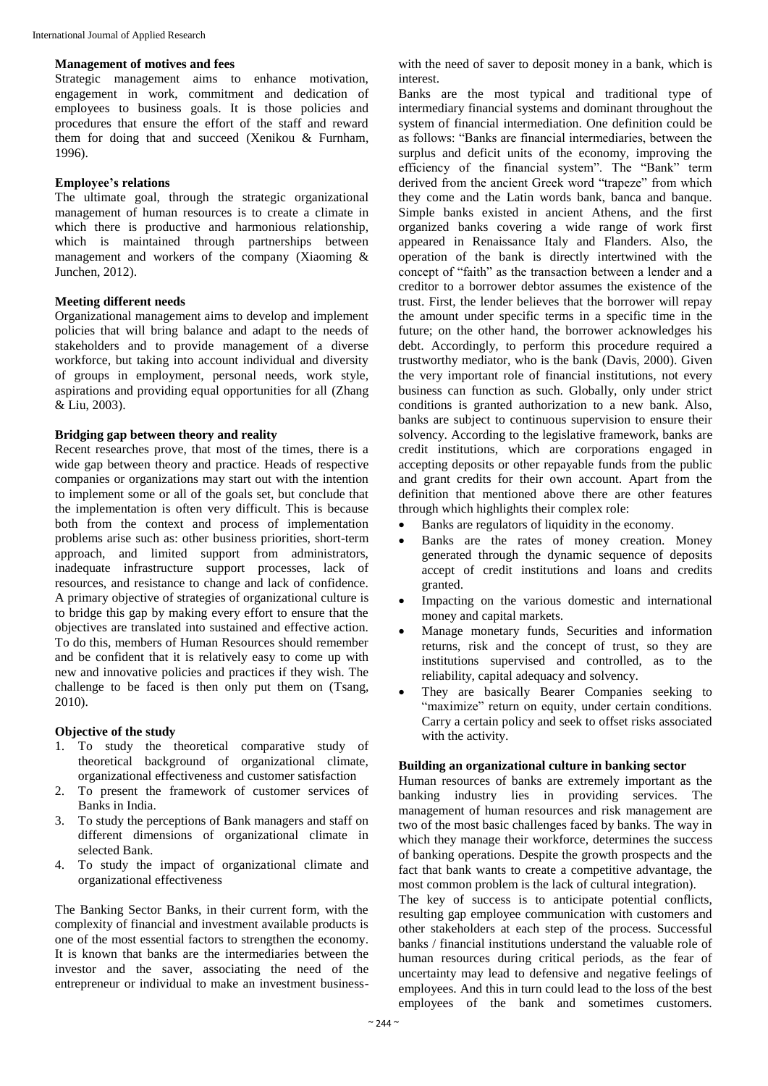#### **Management of motives and fees**

Strategic management aims to enhance motivation, engagement in work, commitment and dedication of employees to business goals. It is those policies and procedures that ensure the effort of the staff and reward them for doing that and succeed (Xenikou & Furnham, 1996).

#### **Employee's relations**

The ultimate goal, through the strategic organizational management of human resources is to create a climate in which there is productive and harmonious relationship, which is maintained through partnerships between management and workers of the company (Xiaoming & Junchen, 2012).

## **Meeting different needs**

Organizational management aims to develop and implement policies that will bring balance and adapt to the needs of stakeholders and to provide management of a diverse workforce, but taking into account individual and diversity of groups in employment, personal needs, work style, aspirations and providing equal opportunities for all (Zhang & Liu, 2003).

## **Bridging gap between theory and reality**

Recent researches prove, that most of the times, there is a wide gap between theory and practice. Heads of respective companies or organizations may start out with the intention to implement some or all of the goals set, but conclude that the implementation is often very difficult. This is because both from the context and process of implementation problems arise such as: other business priorities, short-term approach, and limited support from administrators, inadequate infrastructure support processes, lack of resources, and resistance to change and lack of confidence. A primary objective of strategies of organizational culture is to bridge this gap by making every effort to ensure that the objectives are translated into sustained and effective action. To do this, members of Human Resources should remember and be confident that it is relatively easy to come up with new and innovative policies and practices if they wish. The challenge to be faced is then only put them on (Tsang, 2010).

## **Objective of the study**

- 1. To study the theoretical comparative study of theoretical background of organizational climate, organizational effectiveness and customer satisfaction
- 2. To present the framework of customer services of Banks in India.
- 3. To study the perceptions of Bank managers and staff on different dimensions of organizational climate in selected Bank.
- 4. To study the impact of organizational climate and organizational effectiveness

The Banking Sector Banks, in their current form, with the complexity of financial and investment available products is one of the most essential factors to strengthen the economy. It is known that banks are the intermediaries between the investor and the saver, associating the need of the entrepreneur or individual to make an investment business-

with the need of saver to deposit money in a bank, which is interest.

Banks are the most typical and traditional type of intermediary financial systems and dominant throughout the system of financial intermediation. One definition could be as follows: "Banks are financial intermediaries, between the surplus and deficit units of the economy, improving the efficiency of the financial system". The "Bank" term derived from the ancient Greek word "trapeze" from which they come and the Latin words bank, banca and banque. Simple banks existed in ancient Athens, and the first organized banks covering a wide range of work first appeared in Renaissance Italy and Flanders. Also, the operation of the bank is directly intertwined with the concept of "faith" as the transaction between a lender and a creditor to a borrower debtor assumes the existence of the trust. First, the lender believes that the borrower will repay the amount under specific terms in a specific time in the future; on the other hand, the borrower acknowledges his debt. Accordingly, to perform this procedure required a trustworthy mediator, who is the bank (Davis, 2000). Given the very important role of financial institutions, not every business can function as such. Globally, only under strict conditions is granted authorization to a new bank. Also, banks are subject to continuous supervision to ensure their solvency. According to the legislative framework, banks are credit institutions, which are corporations engaged in accepting deposits or other repayable funds from the public and grant credits for their own account. Apart from the definition that mentioned above there are other features through which highlights their complex role:

- Banks are regulators of liquidity in the economy.
- Banks are the rates of money creation. Money generated through the dynamic sequence of deposits accept of credit institutions and loans and credits granted.
- Impacting on the various domestic and international money and capital markets.
- Manage monetary funds, Securities and information returns, risk and the concept of trust, so they are institutions supervised and controlled, as to the reliability, capital adequacy and solvency.
- They are basically Bearer Companies seeking to "maximize" return on equity, under certain conditions. Carry a certain policy and seek to offset risks associated with the activity.

#### **Building an organizational culture in banking sector**

Human resources of banks are extremely important as the banking industry lies in providing services. The management of human resources and risk management are two of the most basic challenges faced by banks. The way in which they manage their workforce, determines the success of banking operations. Despite the growth prospects and the fact that bank wants to create a competitive advantage, the most common problem is the lack of cultural integration).

The key of success is to anticipate potential conflicts, resulting gap employee communication with customers and other stakeholders at each step of the process. Successful banks / financial institutions understand the valuable role of human resources during critical periods, as the fear of uncertainty may lead to defensive and negative feelings of employees. And this in turn could lead to the loss of the best employees of the bank and sometimes customers.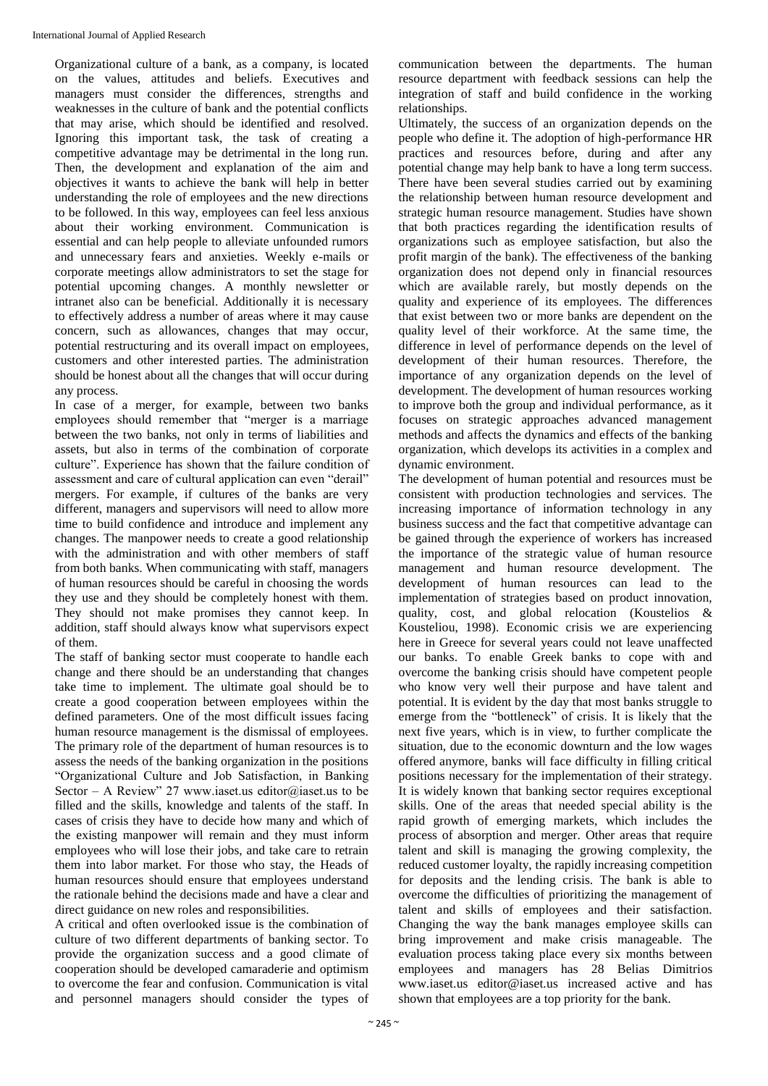Organizational culture of a bank, as a company, is located on the values, attitudes and beliefs. Executives and managers must consider the differences, strengths and weaknesses in the culture of bank and the potential conflicts that may arise, which should be identified and resolved. Ignoring this important task, the task of creating a competitive advantage may be detrimental in the long run. Then, the development and explanation of the aim and objectives it wants to achieve the bank will help in better understanding the role of employees and the new directions to be followed. In this way, employees can feel less anxious about their working environment. Communication is essential and can help people to alleviate unfounded rumors and unnecessary fears and anxieties. Weekly e-mails or corporate meetings allow administrators to set the stage for potential upcoming changes. A monthly newsletter or intranet also can be beneficial. Additionally it is necessary to effectively address a number of areas where it may cause concern, such as allowances, changes that may occur, potential restructuring and its overall impact on employees, customers and other interested parties. The administration should be honest about all the changes that will occur during any process.

In case of a merger, for example, between two banks employees should remember that "merger is a marriage between the two banks, not only in terms of liabilities and assets, but also in terms of the combination of corporate culture". Experience has shown that the failure condition of assessment and care of cultural application can even "derail" mergers. For example, if cultures of the banks are very different, managers and supervisors will need to allow more time to build confidence and introduce and implement any changes. The manpower needs to create a good relationship with the administration and with other members of staff from both banks. When communicating with staff, managers of human resources should be careful in choosing the words they use and they should be completely honest with them. They should not make promises they cannot keep. In addition, staff should always know what supervisors expect of them.

The staff of banking sector must cooperate to handle each change and there should be an understanding that changes take time to implement. The ultimate goal should be to create a good cooperation between employees within the defined parameters. One of the most difficult issues facing human resource management is the dismissal of employees. The primary role of the department of human resources is to assess the needs of the banking organization in the positions "Organizational Culture and Job Satisfaction, in Banking Sector – A Review" 27 www.iaset.us editor@iaset.us to be filled and the skills, knowledge and talents of the staff. In cases of crisis they have to decide how many and which of the existing manpower will remain and they must inform employees who will lose their jobs, and take care to retrain them into labor market. For those who stay, the Heads of human resources should ensure that employees understand the rationale behind the decisions made and have a clear and direct guidance on new roles and responsibilities.

A critical and often overlooked issue is the combination of culture of two different departments of banking sector. To provide the organization success and a good climate of cooperation should be developed camaraderie and optimism to overcome the fear and confusion. Communication is vital and personnel managers should consider the types of

communication between the departments. The human resource department with feedback sessions can help the integration of staff and build confidence in the working relationships.

Ultimately, the success of an organization depends on the people who define it. The adoption of high-performance HR practices and resources before, during and after any potential change may help bank to have a long term success. There have been several studies carried out by examining the relationship between human resource development and strategic human resource management. Studies have shown that both practices regarding the identification results of organizations such as employee satisfaction, but also the profit margin of the bank). The effectiveness of the banking organization does not depend only in financial resources which are available rarely, but mostly depends on the quality and experience of its employees. The differences that exist between two or more banks are dependent on the quality level of their workforce. At the same time, the difference in level of performance depends on the level of development of their human resources. Therefore, the importance of any organization depends on the level of development. The development of human resources working to improve both the group and individual performance, as it focuses on strategic approaches advanced management methods and affects the dynamics and effects of the banking organization, which develops its activities in a complex and dynamic environment.

The development of human potential and resources must be consistent with production technologies and services. The increasing importance of information technology in any business success and the fact that competitive advantage can be gained through the experience of workers has increased the importance of the strategic value of human resource management and human resource development. The development of human resources can lead to the implementation of strategies based on product innovation, quality, cost, and global relocation (Koustelios & Kousteliou, 1998). Economic crisis we are experiencing here in Greece for several years could not leave unaffected our banks. To enable Greek banks to cope with and overcome the banking crisis should have competent people who know very well their purpose and have talent and potential. It is evident by the day that most banks struggle to emerge from the "bottleneck" of crisis. It is likely that the next five years, which is in view, to further complicate the situation, due to the economic downturn and the low wages offered anymore, banks will face difficulty in filling critical positions necessary for the implementation of their strategy. It is widely known that banking sector requires exceptional skills. One of the areas that needed special ability is the rapid growth of emerging markets, which includes the process of absorption and merger. Other areas that require talent and skill is managing the growing complexity, the reduced customer loyalty, the rapidly increasing competition for deposits and the lending crisis. The bank is able to overcome the difficulties of prioritizing the management of talent and skills of employees and their satisfaction. Changing the way the bank manages employee skills can bring improvement and make crisis manageable. The evaluation process taking place every six months between employees and managers has 28 Belias Dimitrios www.iaset.us editor@iaset.us increased active and has shown that employees are a top priority for the bank.